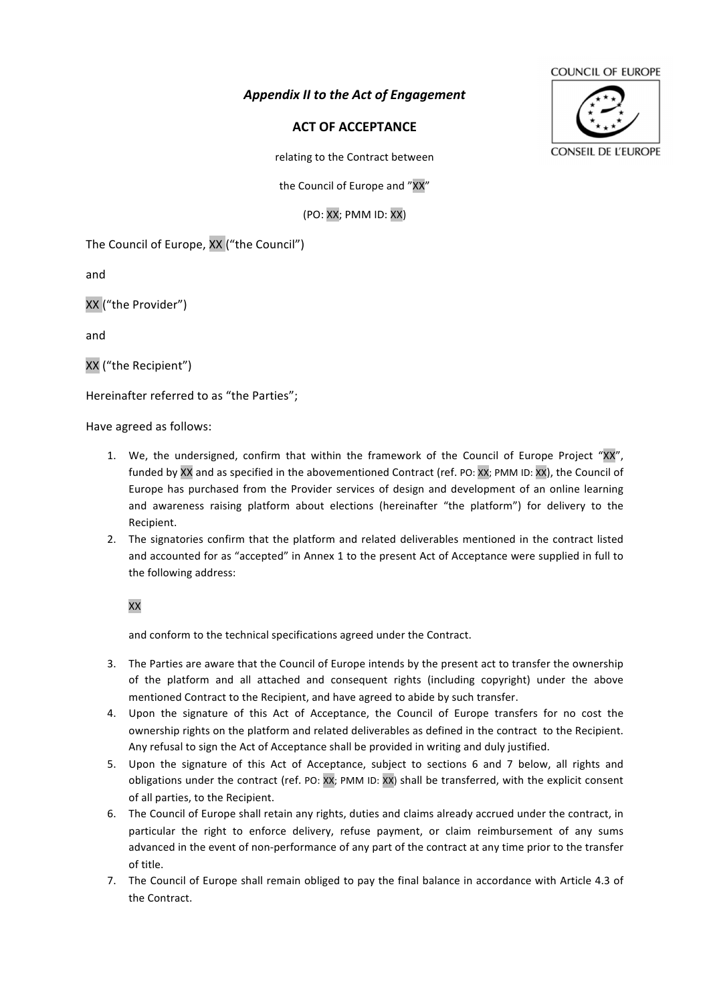*Appendix II to the Act of Engagement*

## **ACT OF ACCEPTANCE**

relating to the Contract between

the Council of Europe and "XX"

(PO: XX; PMM ID: XX)

The Council of Europe, XX ("the Council")

and

XX ("the Provider")

and

XX ("the Recipient")

Hereinafter referred to as "the Parties";

Have agreed as follows:

- 1. We, the undersigned, confirm that within the framework of the Council of Europe Project "XX", funded by XX and as specified in the abovementioned Contract (ref. PO: XX; PMM ID: XX), the Council of Europe has purchased from the Provider services of design and development of an online learning and awareness raising platform about elections (hereinafter "the platform") for delivery to the Recipient.
- 2. The signatories confirm that the platform and related deliverables mentioned in the contract listed and accounted for as "accepted" in Annex 1 to the present Act of Acceptance were supplied in full to the following address:

XX

and conform to the technical specifications agreed under the Contract.

- 3. The Parties are aware that the Council of Europe intends by the present act to transfer the ownership of the platform and all attached and consequent rights (including copyright) under the above mentioned Contract to the Recipient, and have agreed to abide by such transfer.
- 4. Upon the signature of this Act of Acceptance, the Council of Europe transfers for no cost the ownership rights on the platform and related deliverables as defined in the contract to the Recipient. Any refusal to sign the Act of Acceptance shall be provided in writing and duly justified.
- 5. Upon the signature of this Act of Acceptance, subject to sections 6 and 7 below, all rights and obligations under the contract (ref. PO: XX; PMM ID: XX) shall be transferred, with the explicit consent of all parties, to the Recipient.
- 6. The Council of Europe shall retain any rights, duties and claims already accrued under the contract, in particular the right to enforce delivery, refuse payment, or claim reimbursement of any sums advanced in the event of non-performance of any part of the contract at any time prior to the transfer of title.
- 7. The Council of Europe shall remain obliged to pay the final balance in accordance with Article 4.3 of the Contract.



CONSEIL DE L'EUROPE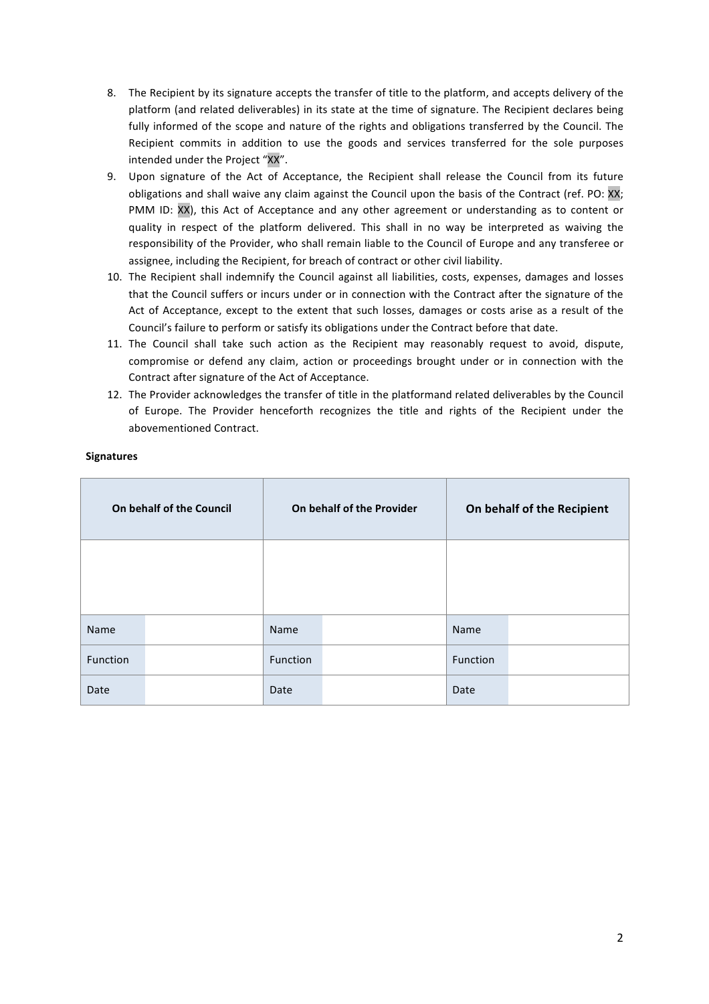- 8. The Recipient by its signature accepts the transfer of title to the platform, and accepts delivery of the platform (and related deliverables) in its state at the time of signature. The Recipient declares being fully informed of the scope and nature of the rights and obligations transferred by the Council. The Recipient commits in addition to use the goods and services transferred for the sole purposes intended under the Project "XX".
- 9. Upon signature of the Act of Acceptance, the Recipient shall release the Council from its future obligations and shall waive any claim against the Council upon the basis of the Contract (ref. PO: XX; PMM ID: XX), this Act of Acceptance and any other agreement or understanding as to content or quality in respect of the platform delivered. This shall in no way be interpreted as waiving the responsibility of the Provider, who shall remain liable to the Council of Europe and any transferee or assignee, including the Recipient, for breach of contract or other civil liability.
- 10. The Recipient shall indemnify the Council against all liabilities, costs, expenses, damages and losses that the Council suffers or incurs under or in connection with the Contract after the signature of the Act of Acceptance, except to the extent that such losses, damages or costs arise as a result of the Council's failure to perform or satisfy its obligations under the Contract before that date.
- 11. The Council shall take such action as the Recipient may reasonably request to avoid, dispute, compromise or defend any claim, action or proceedings brought under or in connection with the Contract after signature of the Act of Acceptance.
- 12. The Provider acknowledges the transfer of title in the platformand related deliverables by the Council of Europe. The Provider henceforth recognizes the title and rights of the Recipient under the abovementioned Contract.

| On behalf of the Council |  | On behalf of the Provider |  | On behalf of the Recipient |  |
|--------------------------|--|---------------------------|--|----------------------------|--|
|                          |  |                           |  |                            |  |
| Name                     |  | Name                      |  | Name                       |  |
| Function                 |  | Function                  |  | Function                   |  |
| Date                     |  | Date                      |  | Date                       |  |

## **Signatures**